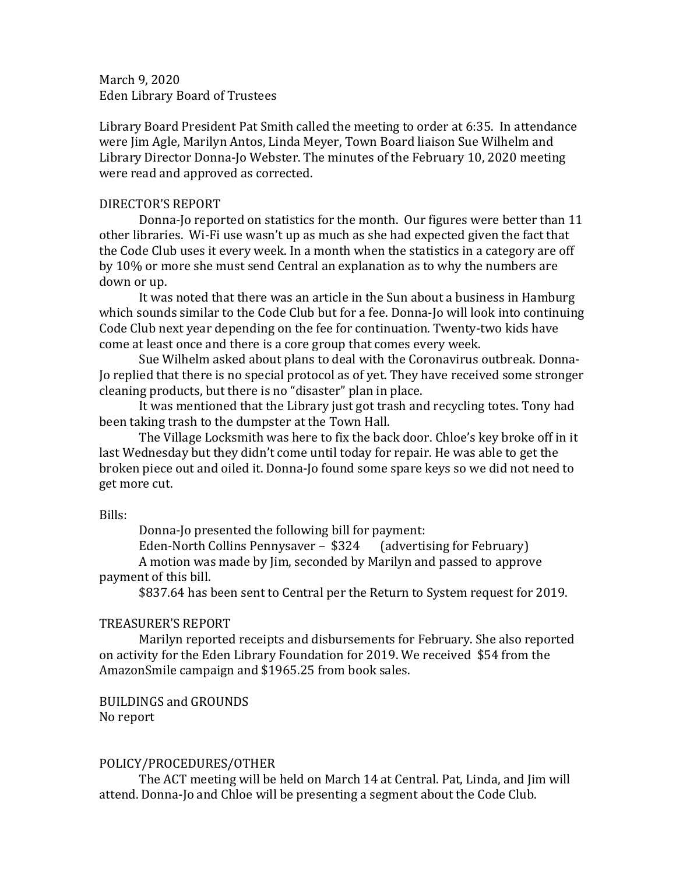March 9, 2020 Eden Library Board of Trustees

Library Board President Pat Smith called the meeting to order at 6:35. In attendance were Jim Agle, Marilyn Antos, Linda Meyer, Town Board liaison Sue Wilhelm and Library Director Donna-Jo Webster. The minutes of the February 10, 2020 meeting were read and approved as corrected.

#### DIRECTOR'S REPORT

Donna-Jo reported on statistics for the month. Our figures were better than 11 other libraries. Wi-Fi use wasn't up as much as she had expected given the fact that the Code Club uses it every week. In a month when the statistics in a category are off by 10% or more she must send Central an explanation as to why the numbers are down or up.

It was noted that there was an article in the Sun about a business in Hamburg which sounds similar to the Code Club but for a fee. Donna-Jo will look into continuing Code Club next year depending on the fee for continuation. Twenty-two kids have come at least once and there is a core group that comes every week.

Sue Wilhelm asked about plans to deal with the Coronavirus outbreak. Donna-Jo replied that there is no special protocol as of yet. They have received some stronger cleaning products, but there is no "disaster" plan in place.

It was mentioned that the Library just got trash and recycling totes. Tony had been taking trash to the dumpster at the Town Hall.

The Village Locksmith was here to fix the back door. Chloe's key broke off in it last Wednesday but they didn't come until today for repair. He was able to get the broken piece out and oiled it. Donna-Jo found some spare keys so we did not need to get more cut.

#### Bills:

Donna-Jo presented the following bill for payment:<br>Eden-North Collins Pennysaver – \$324 (advertising for February) Eden-North Collins Pennysaver - \$324

A motion was made by Jim, seconded by Marilyn and passed to approve payment of this bill.

\$837.64 has been sent to Central per the Return to System request for 2019.

## TREASURER'S REPORT

Marilyn reported receipts and disbursements for February. She also reported on activity for the Eden Library Foundation for 2019. We received \$54 from the AmazonSmile campaign and \$1965.25 from book sales.

# BUILDINGS and GROUNDS

No report

## POLICY/PROCEDURES/OTHER

The ACT meeting will be held on March 14 at Central. Pat, Linda, and Jim will attend. Donna-Jo and Chloe will be presenting a segment about the Code Club.